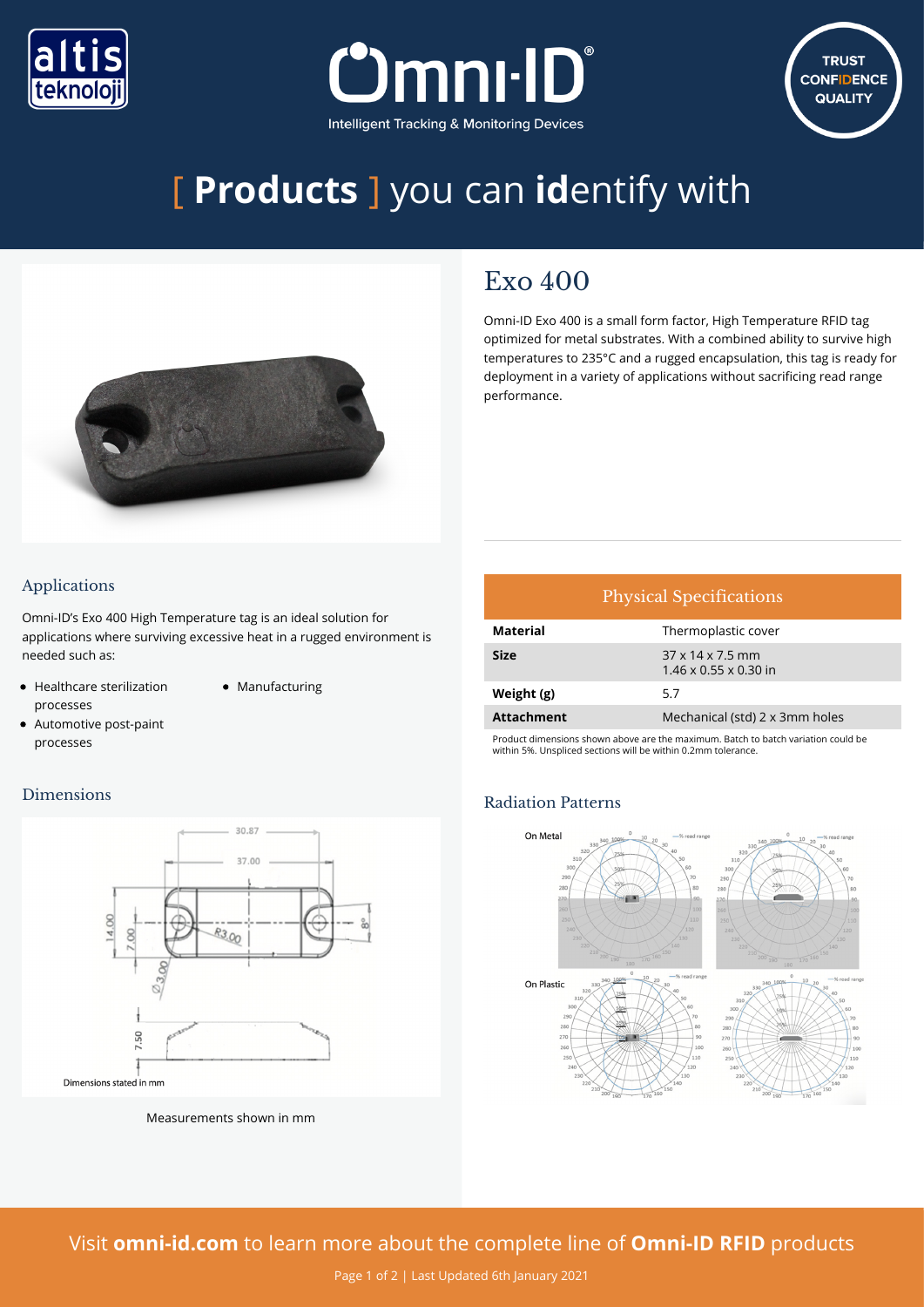





# [ **Products** ] you can **id**entify with



## $Exo 400$

Omni-ID Exo 400 is a small form factor, High Temperature RFID tag optimized for metal substrates. With a combined ability to survive high temperatures to 235°C and a rugged encapsulation, this tag is ready for deployment in a variety of applications without sacrificing read range performance.

#### Applications

Omni-ID's Exo 400 High Temperature tag is an ideal solution for applications where surviving excessive heat in a rugged environment is needed such as:

- Healthcare sterilization processes
- Manufacturing
- Automotive post-paint processes

#### Dimensions



Measurements shown in mm

### Physical Specifications **Material** Thermoplastic cover **Size** 37 x 14 x 7.5 mm 1.46 x 0.55 x 0.30 in **Weight (g)** 5.7 **Attachment** Mechanical (std) 2 x 3mm holes

Product dimensions shown above are the maximum. Batch to batch variation could be within 5%. Unspliced sections will be within 0.2mm tolerance.

#### Radiation Patterns



Visit **[omni-id.com](https://www.omni-id.com/)** to learn more about the complete line of **Omni-ID RFID** products